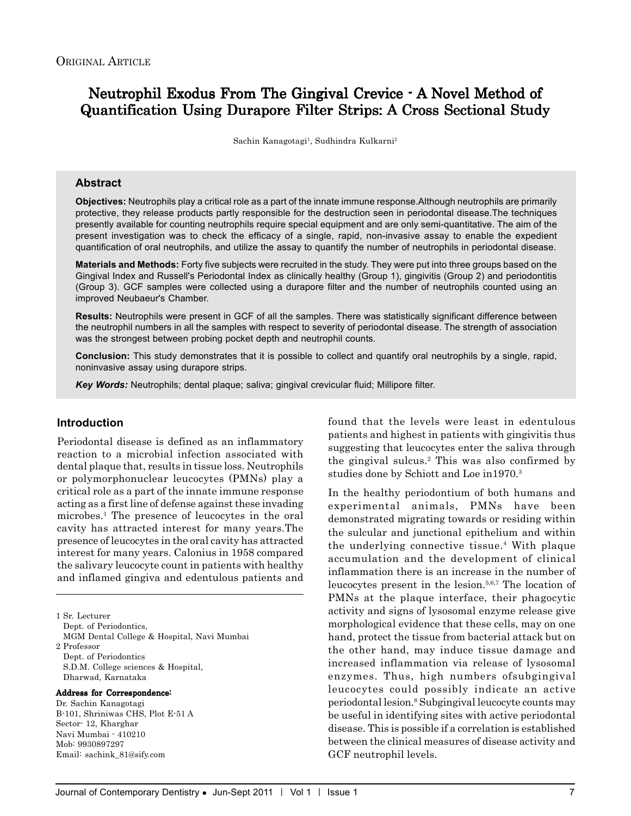# Neutrophil Exodus From The Gingival Crevice - A Novel Method of Quantification Using Durapore Filter Strips: A Cross Sectional Study

Sachin Kanagotagi<sup>1</sup>, Sudhindra Kulkarni<sup>2</sup>

### **Abstract**

**Objectives:** Neutrophils play a critical role as a part of the innate immune response.Although neutrophils are primarily protective, they release products partly responsible for the destruction seen in periodontal disease.The techniques presently available for counting neutrophils require special equipment and are only semi-quantitative. The aim of the present investigation was to check the efficacy of a single, rapid, non-invasive assay to enable the expedient quantification of oral neutrophils, and utilize the assay to quantify the number of neutrophils in periodontal disease.

**Materials and Methods:** Forty five subjects were recruited in the study. They were put into three groups based on the Gingival Index and Russell's Periodontal Index as clinically healthy (Group 1), gingivitis (Group 2) and periodontitis (Group 3). GCF samples were collected using a durapore filter and the number of neutrophils counted using an improved Neubaeur's Chamber.

**Results:** Neutrophils were present in GCF of all the samples. There was statistically significant difference between the neutrophil numbers in all the samples with respect to severity of periodontal disease. The strength of association was the strongest between probing pocket depth and neutrophil counts.

**Conclusion:** This study demonstrates that it is possible to collect and quantify oral neutrophils by a single, rapid, noninvasive assay using durapore strips.

*Key Words:* Neutrophils; dental plaque; saliva; gingival crevicular fluid; Millipore filter.

## **Introduction**

Periodontal disease is defined as an inflammatory reaction to a microbial infection associated with dental plaque that, results in tissue loss. Neutrophils or polymorphonuclear leucocytes (PMNs) play a critical role as a part of the innate immune response acting as a first line of defense against these invading microbes.1 The presence of leucocytes in the oral cavity has attracted interest for many years.The presence of leucocytes in the oral cavity has attracted interest for many years. Calonius in 1958 compared the salivary leucocyte count in patients with healthy and inflamed gingiva and edentulous patients and

1 Sr. Lecturer Dept. of Periodontics, MGM Dental College & Hospital, Navi Mumbai 2 Professor Dept. of Periodontics S.D.M. College sciences & Hospital, Dharwad, Karnataka

#### Address for Correspondence:

Dr. Sachin Kanagotagi B-101, Shriniwas CHS, Plot E-51 A Sector- 12, Kharghar Navi Mumbai - 410210 Mob: 9930897297 Email: sachink\_81@sify.com

found that the levels were least in edentulous patients and highest in patients with gingivitis thus suggesting that leucocytes enter the saliva through the gingival sulcus.2 This was also confirmed by studies done by Schiott and Loe in1970.3

In the healthy periodontium of both humans and experimental animals, PMNs have been demonstrated migrating towards or residing within the sulcular and junctional epithelium and within the underlying connective tissue.4 With plaque accumulation and the development of clinical inflammation there is an increase in the number of leucocytes present in the lesion.5,6,7 The location of PMNs at the plaque interface, their phagocytic activity and signs of lysosomal enzyme release give morphological evidence that these cells, may on one hand, protect the tissue from bacterial attack but on the other hand, may induce tissue damage and increased inflammation via release of lysosomal enzymes. Thus, high numbers ofsubgingival leucocytes could possibly indicate an active periodontal lesion.8 Subgingival leucocyte counts may be useful in identifying sites with active periodontal disease. This is possible if a correlation is established between the clinical measures of disease activity and GCF neutrophil levels.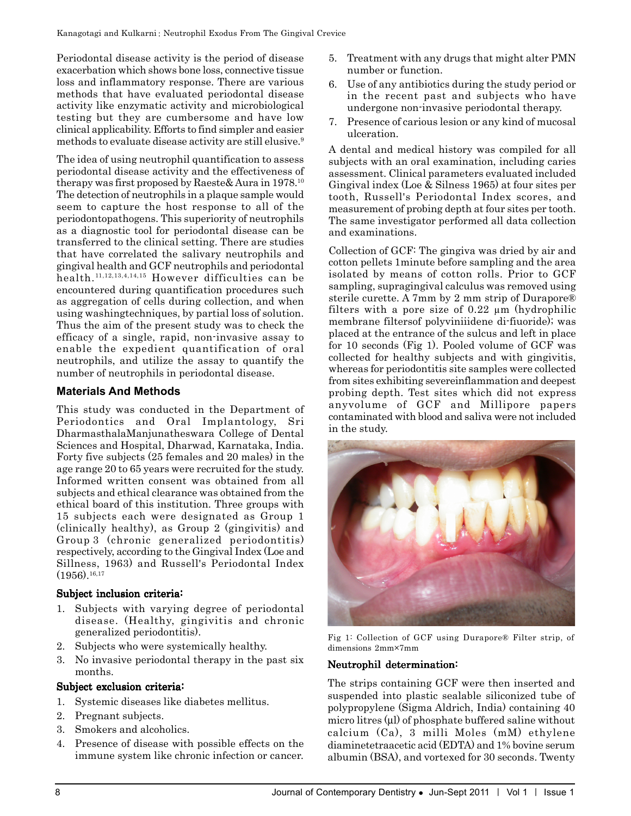Periodontal disease activity is the period of disease exacerbation which shows bone loss, connective tissue loss and inflammatory response. There are various methods that have evaluated periodontal disease activity like enzymatic activity and microbiological testing but they are cumbersome and have low clinical applicability. Efforts to find simpler and easier methods to evaluate disease activity are still elusive.<sup>9</sup>

The idea of using neutrophil quantification to assess periodontal disease activity and the effectiveness of therapy was first proposed by Raeste& Aura in 1978.10 The detection of neutrophils in a plaque sample would seem to capture the host response to all of the periodontopathogens. This superiority of neutrophils as a diagnostic tool for periodontal disease can be transferred to the clinical setting. There are studies that have correlated the salivary neutrophils and gingival health and GCF neutrophils and periodontal health.11,12,13,4,14,15 However difficulties can be encountered during quantification procedures such as aggregation of cells during collection, and when using washingtechniques, by partial loss of solution. Thus the aim of the present study was to check the efficacy of a single, rapid, non-invasive assay to enable the expedient quantification of oral neutrophils, and utilize the assay to quantify the number of neutrophils in periodontal disease.

# **Materials And Methods**

This study was conducted in the Department of Periodontics and Oral Implantology, Sri DharmasthalaManjunatheswara College of Dental Sciences and Hospital, Dharwad, Karnataka, India. Forty five subjects (25 females and 20 males) in the age range 20 to 65 years were recruited for the study. Informed written consent was obtained from all subjects and ethical clearance was obtained from the ethical board of this institution. Three groups with 15 subjects each were designated as Group 1 (clinically healthy), as Group 2 (gingivitis) and Group 3 (chronic generalized periodontitis) respectively, according to the Gingival Index (Loe and Sillness, 1963) and Russell's Periodontal Index  $(1956)^{16,17}$ 

# Subject inclusion criteria:

- 1. Subjects with varying degree of periodontal disease. (Healthy, gingivitis and chronic generalized periodontitis).
- 2. Subjects who were systemically healthy.
- 3. No invasive periodontal therapy in the past six months.

## Subject exclusion criteria:

- 1. Systemic diseases like diabetes mellitus.
- 2. Pregnant subjects.
- 3. Smokers and alcoholics.
- 4. Presence of disease with possible effects on the immune system like chronic infection or cancer.
- 5. Treatment with any drugs that might alter PMN number or function.
- 6. Use of any antibiotics during the study period or in the recent past and subjects who have undergone non-invasive periodontal therapy.
- 7. Presence of carious lesion or any kind of mucosal ulceration.

A dental and medical history was compiled for all subjects with an oral examination, including caries assessment. Clinical parameters evaluated included Gingival index (Loe & Silness 1965) at four sites per tooth, Russell's Periodontal Index scores, and measurement of probing depth at four sites per tooth. The same investigator performed all data collection and examinations.

Collection of GCF: The gingiva was dried by air and cotton pellets 1minute before sampling and the area isolated by means of cotton rolls. Prior to GCF sampling, supragingival calculus was removed using sterile curette. A 7mm by 2 mm strip of Durapore® filters with a pore size of 0.22 µm (hydrophilic membrane filtersof polyviniiidene di-fiuoride); was placed at the entrance of the sulcus and left in place for 10 seconds (Fig 1). Pooled volume of GCF was collected for healthy subjects and with gingivitis, whereas for periodontitis site samples were collected from sites exhibiting severeinflammation and deepest probing depth. Test sites which did not express anyvolume of GCF and Millipore papers contaminated with blood and saliva were not included in the study.



Fig 1: Collection of GCF using Durapore® Filter strip, of dimensions 2mm×7mm

## Neutrophil determination:

The strips containing GCF were then inserted and suspended into plastic sealable siliconized tube of polypropylene (Sigma Aldrich, India) containing 40 micro litres (μl) of phosphate buffered saline without calcium (Ca), 3 milli Moles (mM) ethylene diaminetetraacetic acid (EDTA) and 1% bovine serum albumin (BSA), and vortexed for 30 seconds. Twenty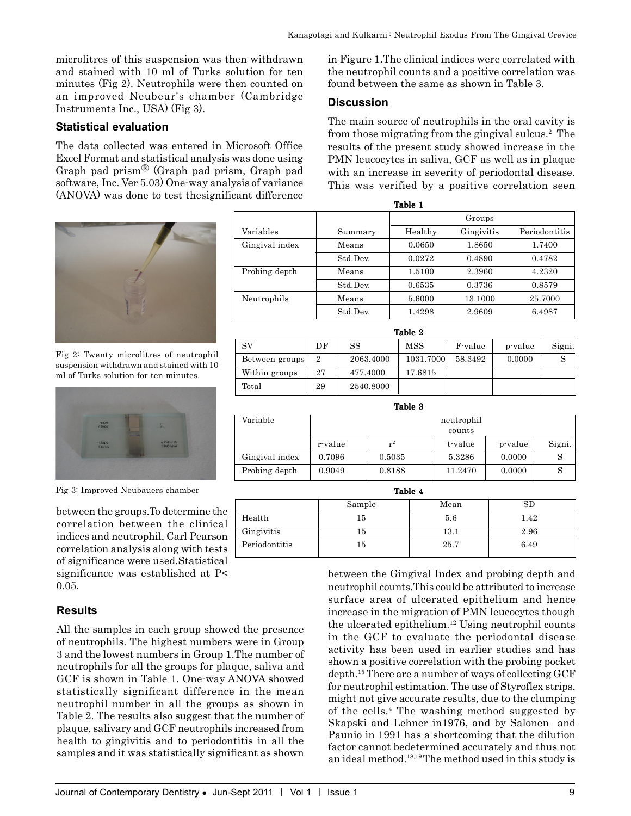microlitres of this suspension was then withdrawn and stained with 10 ml of Turks solution for ten minutes (Fig 2). Neutrophils were then counted on an improved Neubeur's chamber (Cambridge Instruments Inc., USA) (Fig 3).

# **Statistical evaluation**

The data collected was entered in Microsoft Office Excel Format and statistical analysis was done using Graph pad prism® (Graph pad prism, Graph pad software, Inc. Ver 5.03) One-way analysis of variance (ANOVA) was done to test thesignificant difference



Fig 2: Twenty microlitres of neutrophil suspension withdrawn and stained with 10 ml of Turks solution for ten minutes.



Fig 3: Improved Neubauers chamber

between the groups.To determine the correlation between the clinical indices and neutrophil, Carl Pearson correlation analysis along with tests of significance were used.Statistical significance was established at P< 0.05.

# **Results**

All the samples in each group showed the presence of neutrophils. The highest numbers were in Group 3 and the lowest numbers in Group 1.The number of neutrophils for all the groups for plaque, saliva and GCF is shown in Table 1. One-way ANOVA showed statistically significant difference in the mean neutrophil number in all the groups as shown in Table 2. The results also suggest that the number of plaque, salivary and GCF neutrophils increased from health to gingivitis and to periodontitis in all the samples and it was statistically significant as shown

in Figure 1.The clinical indices were correlated with the neutrophil counts and a positive correlation was found between the same as shown in Table 3.

# **Discussion**

The main source of neutrophils in the oral cavity is from those migrating from the gingival sulcus.2 The results of the present study showed increase in the PMN leucocytes in saliva, GCF as well as in plaque with an increase in severity of periodontal disease. This was verified by a positive correlation seen

|                |    |                           | Groups    |                    |         |               |  |
|----------------|----|---------------------------|-----------|--------------------|---------|---------------|--|
| Variables      |    | Summary                   | Healthy   | Gingivitis         |         | Periodontitis |  |
| Gingival index |    | Means                     | 0.0650    | 1.8650             |         | 1.7400        |  |
|                |    | Std Dev.                  | 0.0272    | 0.4890<br>0.4782   |         |               |  |
| Probing depth  |    | 1.5100<br>Means<br>2.3960 |           |                    | 4.2320  |               |  |
|                |    | Std Dev.                  | 0.6535    | 0.3736             |         | 0.8579        |  |
| Neutrophils    |    | Means                     | 5.6000    | 13.1000<br>25.7000 |         |               |  |
|                |    | Std.Dev.                  | 1.4298    | 2.9609             |         | 6.4987        |  |
| Table 2        |    |                           |           |                    |         |               |  |
| SV             | DF | SS                        | MSS       | F-value            | p-value | Signi.        |  |
| Between groups | 2  | 2063.4000                 | 1031.7000 | 58.3492            | 0.0000  | S             |  |
| Within groups  | 27 | 477.4000                  | 17.6815   |                    |         |               |  |
| Total          | 29 | 2540.8000                 |           |                    |         |               |  |

Table 1

| Table 3        |            |        |         |         |        |  |
|----------------|------------|--------|---------|---------|--------|--|
| Variable       | neutrophil |        |         |         |        |  |
|                | counts     |        |         |         |        |  |
|                | r-value    | $r^2$  | t-value | p-value | Signi. |  |
| Gingival index | 0.7096     | 0.5035 | 5.3286  | 0.0000  |        |  |
| Probing depth  | 0.9049     | 0.8188 | 11.2470 | 0.0000  |        |  |

| ı<br>L |  |
|--------|--|
|--------|--|

|               | Sample | Mean | SD   |
|---------------|--------|------|------|
| Health        | 15     | 5.6  | 1.42 |
| Gingivitis    | 15     | 13.1 | 2.96 |
| Periodontitis | 15     | 25.7 | 6.49 |

between the Gingival Index and probing depth and neutrophil counts.This could be attributed to increase surface area of ulcerated epithelium and hence increase in the migration of PMN leucocytes though the ulcerated epithelium.12 Using neutrophil counts in the GCF to evaluate the periodontal disease activity has been used in earlier studies and has shown a positive correlation with the probing pocket depth.15 There are a number of ways of collecting GCF for neutrophil estimation. The use of Styroflex strips, might not give accurate results, due to the clumping of the cells.4 The washing method suggested by Skapski and Lehner in1976, and by Salonen and Paunio in 1991 has a shortcoming that the dilution factor cannot bedetermined accurately and thus not an ideal method.18,19 The method used in this study is